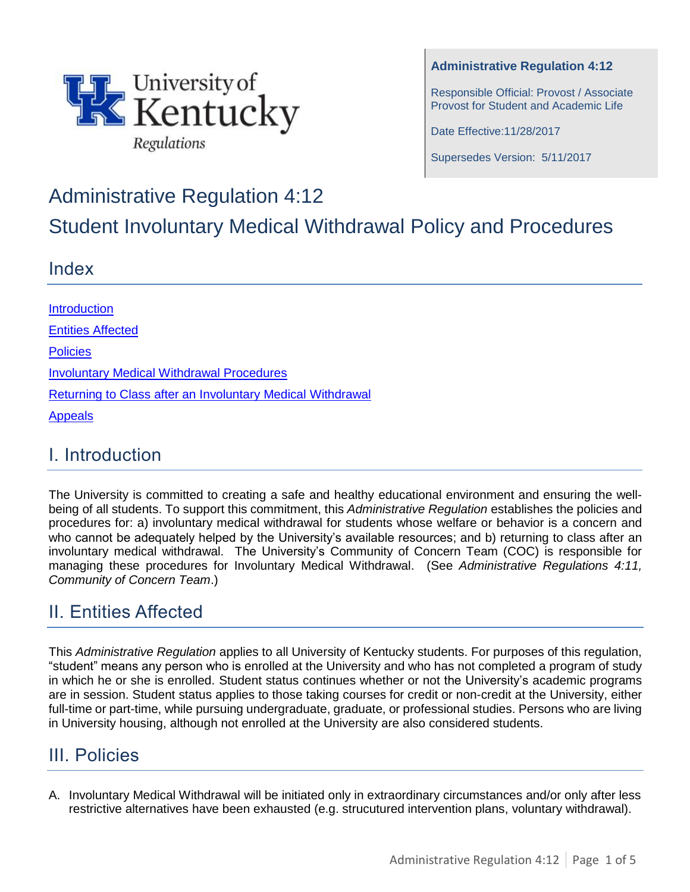

**Administrative Regulation 4:12**

Responsible Official: Provost / Associate Provost for Student and Academic Life

Date Effective:11/28/2017

Supersedes Version: 5/11/2017

# Administrative Regulation 4:12

Student Involuntary Medical Withdrawal Policy and Procedures

#### Index

**[Introduction](#page-0-0)** [Entities Affected](#page-0-1) **[Policies](#page-0-2)** Involuntary Medical Withdrawal Procedures [Returning to Class after](#page-2-0) an Involuntary Medical Withdrawal [Appeals](#page-3-0)

#### <span id="page-0-0"></span>I. Introduction

The University is committed to creating a safe and healthy educational environment and ensuring the wellbeing of all students. To support this commitment, this *Administrative Regulation* establishes the policies and procedures for: a) involuntary medical withdrawal for students whose welfare or behavior is a concern and who cannot be adequately helped by the University's available resources; and b) returning to class after an involuntary medical withdrawal. The University's Community of Concern Team (COC) is responsible for managing these procedures for Involuntary Medical Withdrawal. (See *Administrative Regulations 4:11, Community of Concern Team*.)

## <span id="page-0-1"></span>II. Entities Affected

This *Administrative Regulation* applies to all University of Kentucky students. For purposes of this regulation, "student" means any person who is enrolled at the University and who has not completed a program of study in which he or she is enrolled. Student status continues whether or not the University's academic programs are in session. Student status applies to those taking courses for credit or non-credit at the University, either full-time or part-time, while pursuing undergraduate, graduate, or professional studies. Persons who are living in University housing, although not enrolled at the University are also considered students.

#### <span id="page-0-2"></span>III. Policies

A. Involuntary Medical Withdrawal will be initiated only in extraordinary circumstances and/or only after less restrictive alternatives have been exhausted (e.g. strucutured intervention plans, voluntary withdrawal).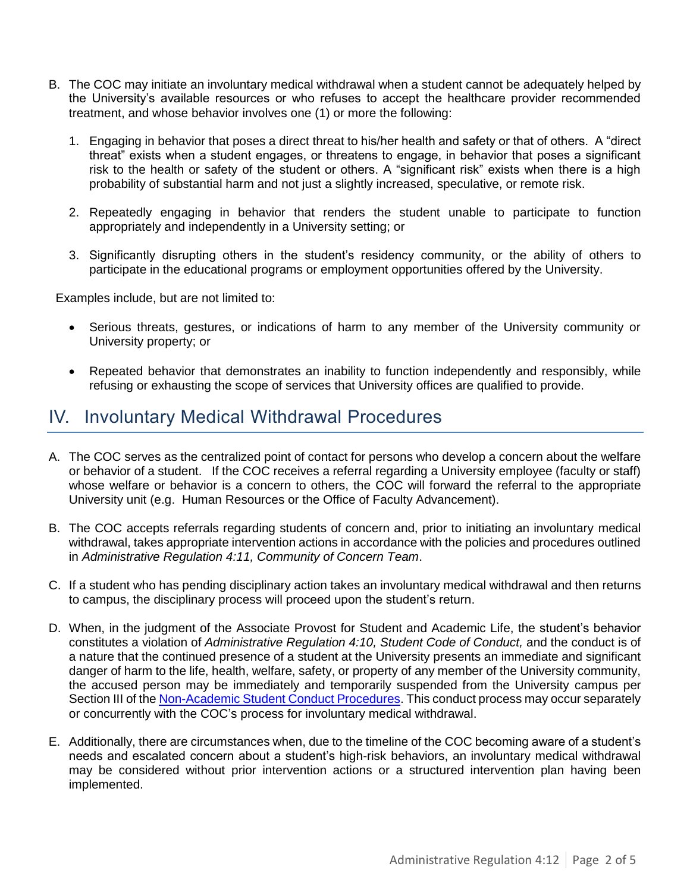- B. The COC may initiate an involuntary medical withdrawal when a student cannot be adequately helped by the University's available resources or who refuses to accept the healthcare provider recommended treatment, and whose behavior involves one (1) or more the following:
	- 1. Engaging in behavior that poses a direct threat to his/her health and safety or that of others. A "direct threat" exists when a student engages, or threatens to engage, in behavior that poses a significant risk to the health or safety of the student or others. A "significant risk" exists when there is a high probability of substantial harm and not just a slightly increased, speculative, or remote risk.
	- 2. Repeatedly engaging in behavior that renders the student unable to participate to function appropriately and independently in a University setting; or
	- 3. Significantly disrupting others in the student's residency community, or the ability of others to participate in the educational programs or employment opportunities offered by the University.

Examples include, but are not limited to:

- Serious threats, gestures, or indications of harm to any member of the University community or University property; or
- Repeated behavior that demonstrates an inability to function independently and responsibly, while refusing or exhausting the scope of services that University offices are qualified to provide.

#### IV. Involuntary Medical Withdrawal Procedures

- A. The COC serves as the centralized point of contact for persons who develop a concern about the welfare or behavior of a student. If the COC receives a referral regarding a University employee (faculty or staff) whose welfare or behavior is a concern to others, the COC will forward the referral to the appropriate University unit (e.g. Human Resources or the Office of Faculty Advancement).
- B. The COC accepts referrals regarding students of concern and, prior to initiating an involuntary medical withdrawal, takes appropriate intervention actions in accordance with the policies and procedures outlined in *Administrative Regulation 4:11, Community of Concern Team*.
- C. If a student who has pending disciplinary action takes an involuntary medical withdrawal and then returns to campus, the disciplinary process will proceed upon the student's return.
- D. When, in the judgment of the Associate Provost for Student and Academic Life, the student's behavior constitutes a violation of *Administrative Regulation 4:10, Student Code of Conduct,* and the conduct is of a nature that the continued presence of a student at the University presents an immediate and significant danger of harm to the life, health, welfare, safety, or property of any member of the University community, the accused person may be immediately and temporarily suspended from the University campus per Section III of the [Non-Academic Student Conduct Procedures.](http://www.uky.edu/studentconduct/sites/www.uky.edu.studentconduct/files/AR%204-10%20Student%20Code%20and%20Procedures.pdf) This conduct process may occur separately or concurrently with the COC's process for involuntary medical withdrawal.
- E. Additionally, there are circumstances when, due to the timeline of the COC becoming aware of a student's needs and escalated concern about a student's high-risk behaviors, an involuntary medical withdrawal may be considered without prior intervention actions or a structured intervention plan having been implemented.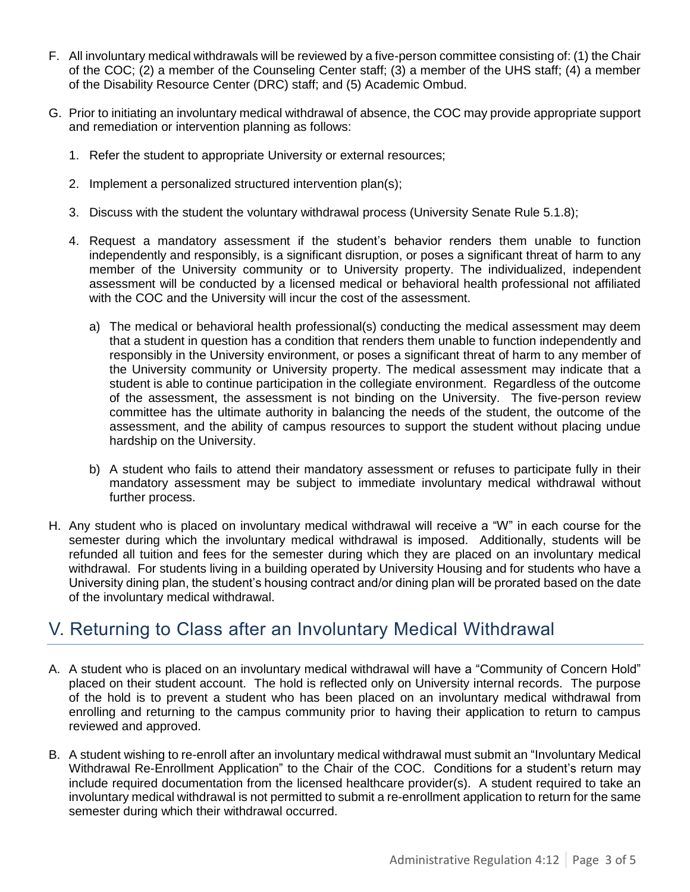- F. All involuntary medical withdrawals will be reviewed by a five-person committee consisting of: (1) the Chair of the COC; (2) a member of the Counseling Center staff; (3) a member of the UHS staff; (4) a member of the Disability Resource Center (DRC) staff; and (5) Academic Ombud.
- G. Prior to initiating an involuntary medical withdrawal of absence, the COC may provide appropriate support and remediation or intervention planning as follows:
	- 1. Refer the student to appropriate University or external resources;
	- 2. Implement a personalized structured intervention plan(s);
	- 3. Discuss with the student the voluntary withdrawal process (University Senate Rule 5.1.8);
	- 4. Request a mandatory assessment if the student's behavior renders them unable to function independently and responsibly, is a significant disruption, or poses a significant threat of harm to any member of the University community or to University property. The individualized, independent assessment will be conducted by a licensed medical or behavioral health professional not affiliated with the COC and the University will incur the cost of the assessment.
		- a) The medical or behavioral health professional(s) conducting the medical assessment may deem that a student in question has a condition that renders them unable to function independently and responsibly in the University environment, or poses a significant threat of harm to any member of the University community or University property. The medical assessment may indicate that a student is able to continue participation in the collegiate environment. Regardless of the outcome of the assessment, the assessment is not binding on the University. The five-person review committee has the ultimate authority in balancing the needs of the student, the outcome of the assessment, and the ability of campus resources to support the student without placing undue hardship on the University.
		- b) A student who fails to attend their mandatory assessment or refuses to participate fully in their mandatory assessment may be subject to immediate involuntary medical withdrawal without further process.
- H. Any student who is placed on involuntary medical withdrawal will receive a "W" in each course for the semester during which the involuntary medical withdrawal is imposed. Additionally, students will be refunded all tuition and fees for the semester during which they are placed on an involuntary medical withdrawal. For students living in a building operated by University Housing and for students who have a University dining plan, the student's housing contract and/or dining plan will be prorated based on the date of the involuntary medical withdrawal.

#### <span id="page-2-0"></span>V. Returning to Class after an Involuntary Medical Withdrawal

- A. A student who is placed on an involuntary medical withdrawal will have a "Community of Concern Hold" placed on their student account. The hold is reflected only on University internal records. The purpose of the hold is to prevent a student who has been placed on an involuntary medical withdrawal from enrolling and returning to the campus community prior to having their application to return to campus reviewed and approved.
- B. A student wishing to re-enroll after an involuntary medical withdrawal must submit an "Involuntary Medical Withdrawal Re-Enrollment Application" to the Chair of the COC. Conditions for a student's return may include required documentation from the licensed healthcare provider(s). A student required to take an involuntary medical withdrawal is not permitted to submit a re-enrollment application to return for the same semester during which their withdrawal occurred.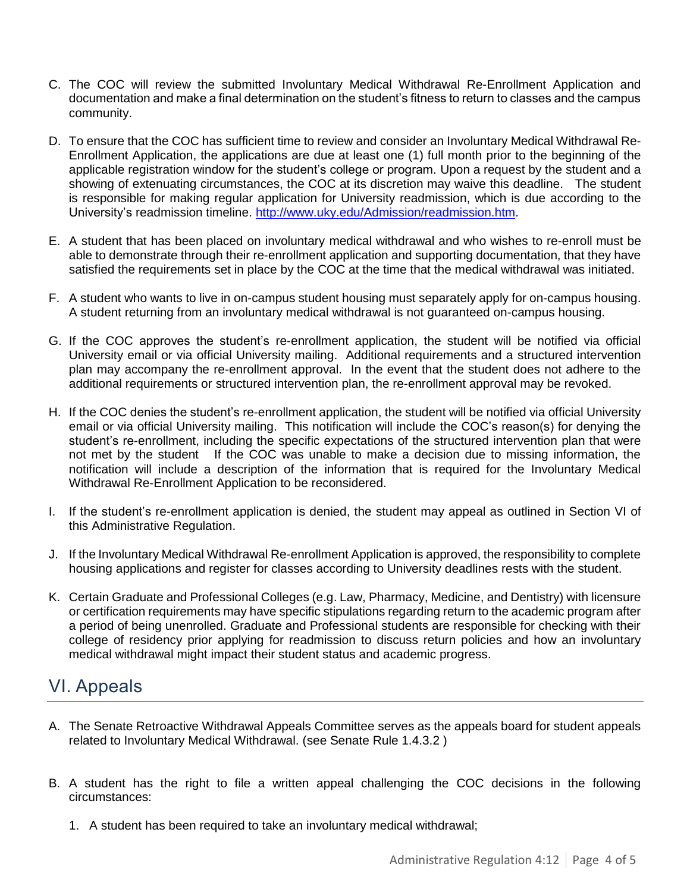- C. The COC will review the submitted Involuntary Medical Withdrawal Re-Enrollment Application and documentation and make a final determination on the student's fitness to return to classes and the campus community.
- D. To ensure that the COC has sufficient time to review and consider an Involuntary Medical Withdrawal Re-Enrollment Application, the applications are due at least one (1) full month prior to the beginning of the applicable registration window for the student's college or program. Upon a request by the student and a showing of extenuating circumstances, the COC at its discretion may waive this deadline. The student is responsible for making regular application for University readmission, which is due according to the University's readmission timeline. [http://www.uky.edu/Admission/readmission.htm.](http://www.uky.edu/Admission/readmission.htm)
- E. A student that has been placed on involuntary medical withdrawal and who wishes to re-enroll must be able to demonstrate through their re-enrollment application and supporting documentation, that they have satisfied the requirements set in place by the COC at the time that the medical withdrawal was initiated.
- F. A student who wants to live in on-campus student housing must separately apply for on-campus housing. A student returning from an involuntary medical withdrawal is not guaranteed on-campus housing.
- G. If the COC approves the student's re-enrollment application, the student will be notified via official University email or via official University mailing. Additional requirements and a structured intervention plan may accompany the re-enrollment approval. In the event that the student does not adhere to the additional requirements or structured intervention plan, the re-enrollment approval may be revoked.
- H. If the COC denies the student's re-enrollment application, the student will be notified via official University email or via official University mailing. This notification will include the COC's reason(s) for denying the student's re-enrollment, including the specific expectations of the structured intervention plan that were not met by the student If the COC was unable to make a decision due to missing information, the notification will include a description of the information that is required for the Involuntary Medical Withdrawal Re-Enrollment Application to be reconsidered.
- I. If the student's re-enrollment application is denied, the student may appeal as outlined in Section VI of this Administrative Regulation.
- J. If the Involuntary Medical Withdrawal Re-enrollment Application is approved, the responsibility to complete housing applications and register for classes according to University deadlines rests with the student.
- K. Certain Graduate and Professional Colleges (e.g. Law, Pharmacy, Medicine, and Dentistry) with licensure or certification requirements may have specific stipulations regarding return to the academic program after a period of being unenrolled. Graduate and Professional students are responsible for checking with their college of residency prior applying for readmission to discuss return policies and how an involuntary medical withdrawal might impact their student status and academic progress.

## <span id="page-3-0"></span>VI. Appeals

- A. The Senate Retroactive Withdrawal Appeals Committee serves as the appeals board for student appeals related to Involuntary Medical Withdrawal. (see Senate Rule 1.4.3.2 )
- B. A student has the right to file a written appeal challenging the COC decisions in the following circumstances:
	- 1. A student has been required to take an involuntary medical withdrawal;